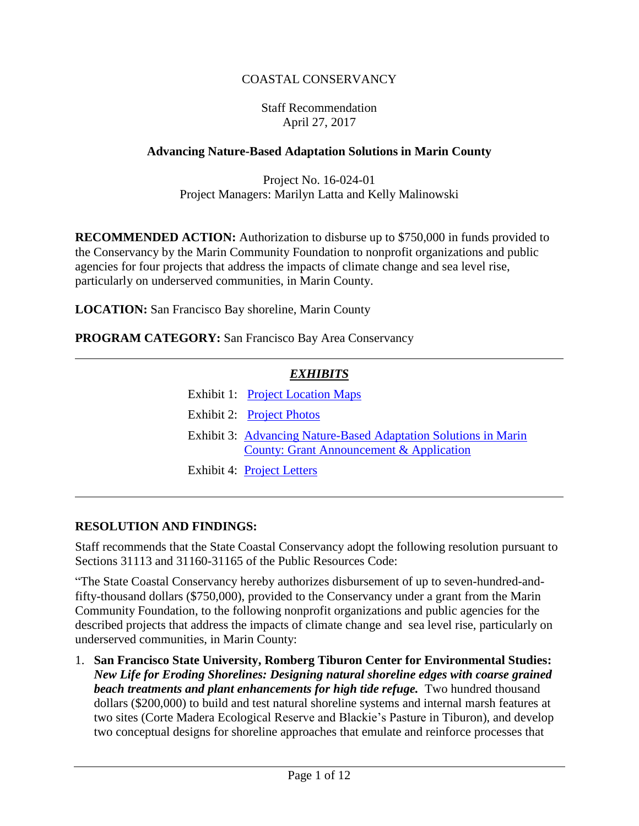### COASTAL CONSERVANCY

#### Staff Recommendation April 27, 2017

### **Advancing Nature-Based Adaptation Solutions in Marin County**

Project No. 16-024-01 Project Managers: Marilyn Latta and Kelly Malinowski

**RECOMMENDED ACTION:** Authorization to disburse up to \$750,000 in funds provided to the Conservancy by the Marin Community Foundation to nonprofit organizations and public agencies for four projects that address the impacts of climate change and sea level rise, particularly on underserved communities, in Marin County.

**LOCATION:** San Francisco Bay shoreline, Marin County

**PROGRAM CATEGORY:** San Francisco Bay Area Conservancy

## *EXHIBITS*

- Exhibit 1: [Project Location](20170427Board06_Nature_Based_Ex1.pdf) Maps
- Exhibit 2: [Project Photos](20170427Board06_Nature_Based_Ex2.pdf)
- Exhibit 3: [Advancing Nature-Based Adaptation Solutions in Marin](20170427Board06_Nature_Based_Ex3.pdf) County: [Grant Announcement & Application](20170427Board06_Nature_Based_Ex3.pdf)
- Exhibit 4: [Project Letters](20170427Board06_Nature_Based_Ex4.pdf)

#### **RESOLUTION AND FINDINGS:**

Staff recommends that the State Coastal Conservancy adopt the following resolution pursuant to Sections 31113 and 31160-31165 of the Public Resources Code:

"The State Coastal Conservancy hereby authorizes disbursement of up to seven-hundred-andfifty-thousand dollars (\$750,000), provided to the Conservancy under a grant from the Marin Community Foundation, to the following nonprofit organizations and public agencies for the described projects that address the impacts of climate change and sea level rise, particularly on underserved communities, in Marin County:

1. **San Francisco State University, Romberg Tiburon Center for Environmental Studies:**  *New Life for Eroding Shorelines: Designing natural shoreline edges with coarse grained beach treatments and plant enhancements for high tide refuge.*Two hundred thousand dollars (\$200,000) to build and test natural shoreline systems and internal marsh features at two sites (Corte Madera Ecological Reserve and Blackie's Pasture in Tiburon), and develop two conceptual designs for shoreline approaches that emulate and reinforce processes that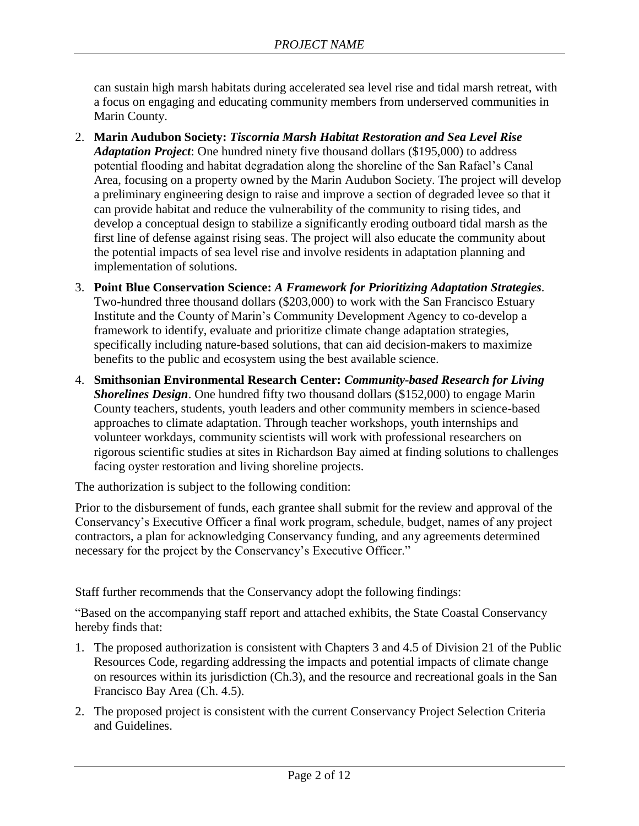can sustain high marsh habitats during accelerated sea level rise and tidal marsh retreat, with a focus on engaging and educating community members from underserved communities in Marin County.

- 2. **Marin Audubon Society:** *Tiscornia Marsh Habitat Restoration and Sea Level Rise Adaptation Project*: One hundred ninety five thousand dollars (\$195,000) to address potential flooding and habitat degradation along the shoreline of the San Rafael's Canal Area, focusing on a property owned by the Marin Audubon Society. The project will develop a preliminary engineering design to raise and improve a section of degraded levee so that it can provide habitat and reduce the vulnerability of the community to rising tides, and develop a conceptual design to stabilize a significantly eroding outboard tidal marsh as the first line of defense against rising seas. The project will also educate the community about the potential impacts of sea level rise and involve residents in adaptation planning and implementation of solutions.
- 3. **Point Blue Conservation Science:** *A Framework for Prioritizing Adaptation Strategies.* Two-hundred three thousand dollars (\$203,000) to work with the San Francisco Estuary Institute and the County of Marin's Community Development Agency to co-develop a framework to identify, evaluate and prioritize climate change adaptation strategies, specifically including nature-based solutions, that can aid decision-makers to maximize benefits to the public and ecosystem using the best available science.
- 4. **Smithsonian Environmental Research Center:** *Community-based Research for Living Shorelines Design*. One hundred fifty two thousand dollars (\$152,000) to engage Marin County teachers, students, youth leaders and other community members in science-based approaches to climate adaptation. Through teacher workshops, youth internships and volunteer workdays, community scientists will work with professional researchers on rigorous scientific studies at sites in Richardson Bay aimed at finding solutions to challenges facing oyster restoration and living shoreline projects.

The authorization is subject to the following condition:

Prior to the disbursement of funds, each grantee shall submit for the review and approval of the Conservancy's Executive Officer a final work program, schedule, budget, names of any project contractors, a plan for acknowledging Conservancy funding, and any agreements determined necessary for the project by the Conservancy's Executive Officer."

Staff further recommends that the Conservancy adopt the following findings:

"Based on the accompanying staff report and attached exhibits, the State Coastal Conservancy hereby finds that:

- 1. The proposed authorization is consistent with Chapters 3 and 4.5 of Division 21 of the Public Resources Code, regarding addressing the impacts and potential impacts of climate change on resources within its jurisdiction (Ch.3), and the resource and recreational goals in the San Francisco Bay Area (Ch. 4.5).
- 2. The proposed project is consistent with the current Conservancy Project Selection Criteria and Guidelines.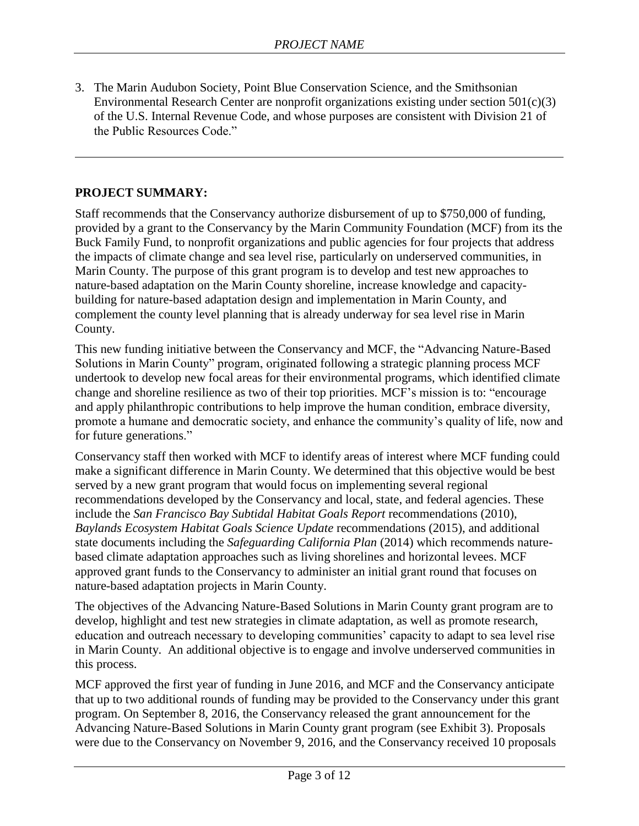3. The Marin Audubon Society, Point Blue Conservation Science, and the Smithsonian Environmental Research Center are nonprofit organizations existing under section 501(c)(3) of the U.S. Internal Revenue Code, and whose purposes are consistent with Division 21 of the Public Resources Code."

#### **PROJECT SUMMARY:**

Staff recommends that the Conservancy authorize disbursement of up to \$750,000 of funding, provided by a grant to the Conservancy by the Marin Community Foundation (MCF) from its the Buck Family Fund, to nonprofit organizations and public agencies for four projects that address the impacts of climate change and sea level rise, particularly on underserved communities, in Marin County. The purpose of this grant program is to develop and test new approaches to nature-based adaptation on the Marin County shoreline, increase knowledge and capacitybuilding for nature-based adaptation design and implementation in Marin County, and complement the county level planning that is already underway for sea level rise in Marin County.

This new funding initiative between the Conservancy and MCF, the "Advancing Nature-Based Solutions in Marin County" program, originated following a strategic planning process MCF undertook to develop new focal areas for their environmental programs, which identified climate change and shoreline resilience as two of their top priorities. MCF's mission is to: "encourage and apply philanthropic contributions to help improve the human condition, embrace diversity, promote a humane and democratic society, and enhance the community's quality of life, now and for future generations."

Conservancy staff then worked with MCF to identify areas of interest where MCF funding could make a significant difference in Marin County. We determined that this objective would be best served by a new grant program that would focus on implementing several regional recommendations developed by the Conservancy and local, state, and federal agencies. These include the *San Francisco Bay Subtidal Habitat Goals Report* recommendations (2010), *Baylands Ecosystem Habitat Goals Science Update* recommendations (2015), and additional state documents including the *Safeguarding California Plan* (2014) which recommends naturebased climate adaptation approaches such as living shorelines and horizontal levees. MCF approved grant funds to the Conservancy to administer an initial grant round that focuses on nature-based adaptation projects in Marin County.

The objectives of the Advancing Nature-Based Solutions in Marin County grant program are to develop, highlight and test new strategies in climate adaptation, as well as promote research, education and outreach necessary to developing communities' capacity to adapt to sea level rise in Marin County. An additional objective is to engage and involve underserved communities in this process.

MCF approved the first year of funding in June 2016, and MCF and the Conservancy anticipate that up to two additional rounds of funding may be provided to the Conservancy under this grant program. On September 8, 2016, the Conservancy released the grant announcement for the Advancing Nature-Based Solutions in Marin County grant program (see Exhibit 3). Proposals were due to the Conservancy on November 9, 2016, and the Conservancy received 10 proposals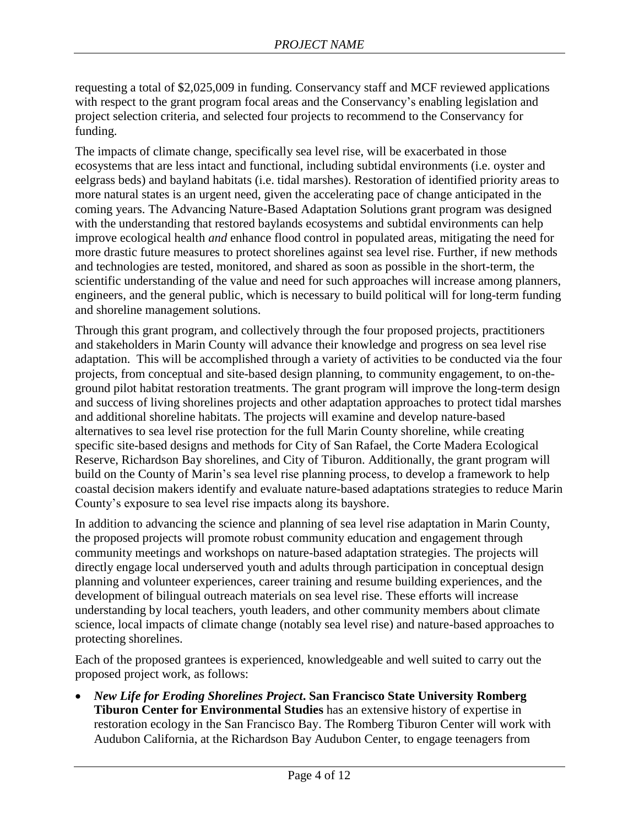requesting a total of \$2,025,009 in funding. Conservancy staff and MCF reviewed applications with respect to the grant program focal areas and the Conservancy's enabling legislation and project selection criteria, and selected four projects to recommend to the Conservancy for funding.

The impacts of climate change, specifically sea level rise, will be exacerbated in those ecosystems that are less intact and functional, including subtidal environments (i.e. oyster and eelgrass beds) and bayland habitats (i.e. tidal marshes). Restoration of identified priority areas to more natural states is an urgent need, given the accelerating pace of change anticipated in the coming years. The Advancing Nature-Based Adaptation Solutions grant program was designed with the understanding that restored baylands ecosystems and subtidal environments can help improve ecological health *and* enhance flood control in populated areas, mitigating the need for more drastic future measures to protect shorelines against sea level rise. Further, if new methods and technologies are tested, monitored, and shared as soon as possible in the short-term, the scientific understanding of the value and need for such approaches will increase among planners, engineers, and the general public, which is necessary to build political will for long-term funding and shoreline management solutions.

Through this grant program, and collectively through the four proposed projects, practitioners and stakeholders in Marin County will advance their knowledge and progress on sea level rise adaptation. This will be accomplished through a variety of activities to be conducted via the four projects, from conceptual and site-based design planning, to community engagement, to on-theground pilot habitat restoration treatments. The grant program will improve the long-term design and success of living shorelines projects and other adaptation approaches to protect tidal marshes and additional shoreline habitats. The projects will examine and develop nature-based alternatives to sea level rise protection for the full Marin County shoreline, while creating specific site-based designs and methods for City of San Rafael, the Corte Madera Ecological Reserve, Richardson Bay shorelines, and City of Tiburon. Additionally, the grant program will build on the County of Marin's sea level rise planning process, to develop a framework to help coastal decision makers identify and evaluate nature-based adaptations strategies to reduce Marin County's exposure to sea level rise impacts along its bayshore.

In addition to advancing the science and planning of sea level rise adaptation in Marin County, the proposed projects will promote robust community education and engagement through community meetings and workshops on nature-based adaptation strategies. The projects will directly engage local underserved youth and adults through participation in conceptual design planning and volunteer experiences, career training and resume building experiences, and the development of bilingual outreach materials on sea level rise. These efforts will increase understanding by local teachers, youth leaders, and other community members about climate science, local impacts of climate change (notably sea level rise) and nature-based approaches to protecting shorelines.

Each of the proposed grantees is experienced, knowledgeable and well suited to carry out the proposed project work, as follows:

 *New Life for Eroding Shorelines Project***. San Francisco State University Romberg Tiburon Center for Environmental Studies** has an extensive history of expertise in restoration ecology in the San Francisco Bay. The Romberg Tiburon Center will work with Audubon California, at the Richardson Bay Audubon Center, to engage teenagers from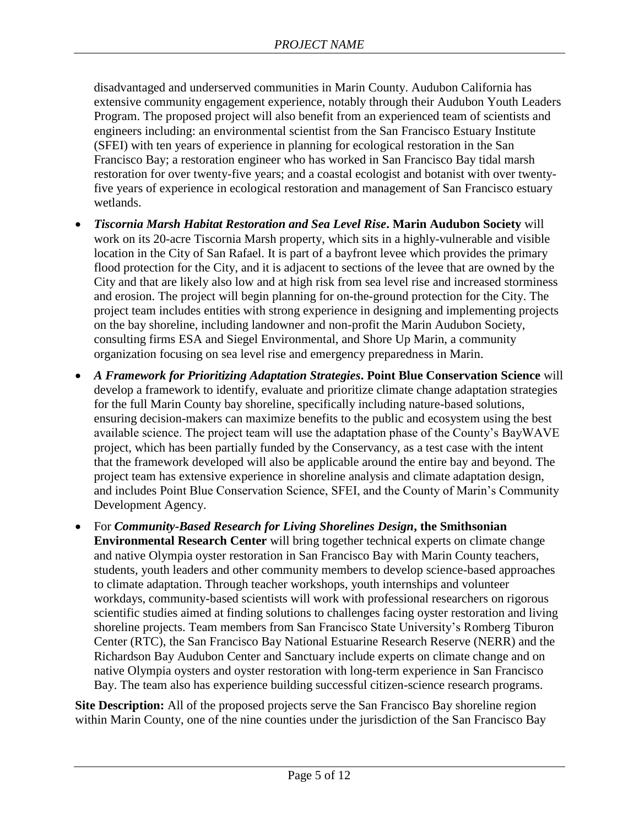disadvantaged and underserved communities in Marin County. Audubon California has extensive community engagement experience, notably through their Audubon Youth Leaders Program. The proposed project will also benefit from an experienced team of scientists and engineers including: an environmental scientist from the San Francisco Estuary Institute (SFEI) with ten years of experience in planning for ecological restoration in the San Francisco Bay; a restoration engineer who has worked in San Francisco Bay tidal marsh restoration for over twenty-five years; and a coastal ecologist and botanist with over twentyfive years of experience in ecological restoration and management of San Francisco estuary wetlands.

- *Tiscornia Marsh Habitat Restoration and Sea Level Rise***. Marin Audubon Society** will work on its 20-acre Tiscornia Marsh property, which sits in a highly-vulnerable and visible location in the City of San Rafael. It is part of a bayfront levee which provides the primary flood protection for the City, and it is adjacent to sections of the levee that are owned by the City and that are likely also low and at high risk from sea level rise and increased storminess and erosion. The project will begin planning for on-the-ground protection for the City. The project team includes entities with strong experience in designing and implementing projects on the bay shoreline, including landowner and non-profit the Marin Audubon Society, consulting firms ESA and Siegel Environmental, and Shore Up Marin, a community organization focusing on sea level rise and emergency preparedness in Marin.
- *A Framework for Prioritizing Adaptation Strategies***. Point Blue Conservation Science** will develop a framework to identify, evaluate and prioritize climate change adaptation strategies for the full Marin County bay shoreline, specifically including nature-based solutions, ensuring decision-makers can maximize benefits to the public and ecosystem using the best available science. The project team will use the adaptation phase of the County's BayWAVE project, which has been partially funded by the Conservancy, as a test case with the intent that the framework developed will also be applicable around the entire bay and beyond. The project team has extensive experience in shoreline analysis and climate adaptation design, and includes Point Blue Conservation Science, SFEI, and the County of Marin's Community Development Agency.
- For *Community-Based Research for Living Shorelines Design***, the Smithsonian Environmental Research Center** will bring together technical experts on climate change and native Olympia oyster restoration in San Francisco Bay with Marin County teachers, students, youth leaders and other community members to develop science-based approaches to climate adaptation. Through teacher workshops, youth internships and volunteer workdays, community-based scientists will work with professional researchers on rigorous scientific studies aimed at finding solutions to challenges facing oyster restoration and living shoreline projects. Team members from San Francisco State University's Romberg Tiburon Center (RTC), the San Francisco Bay National Estuarine Research Reserve (NERR) and the Richardson Bay Audubon Center and Sanctuary include experts on climate change and on native Olympia oysters and oyster restoration with long-term experience in San Francisco Bay. The team also has experience building successful citizen-science research programs.

**Site Description:** All of the proposed projects serve the San Francisco Bay shoreline region within Marin County, one of the nine counties under the jurisdiction of the San Francisco Bay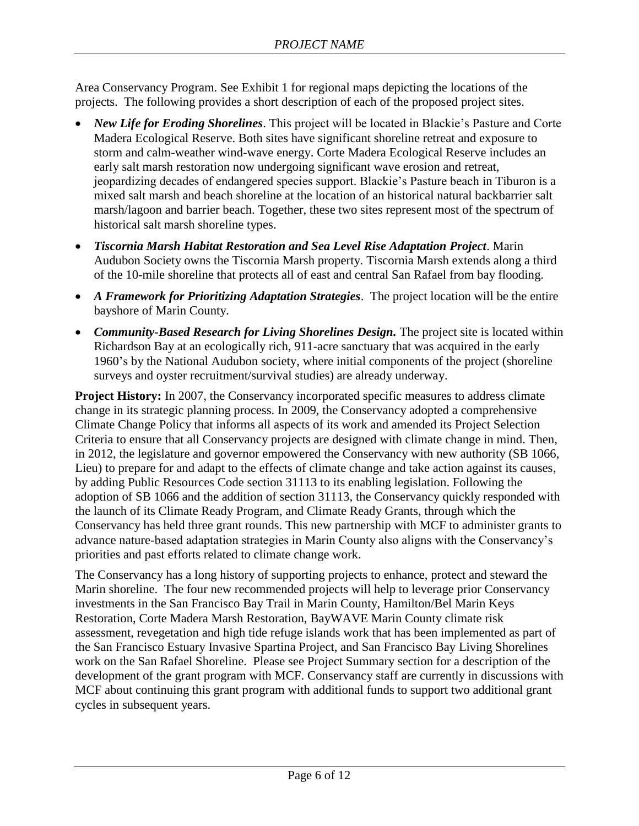Area Conservancy Program. See Exhibit 1 for regional maps depicting the locations of the projects. The following provides a short description of each of the proposed project sites.

- *New Life for Eroding Shorelines*. This project will be located in Blackie's Pasture and Corte Madera Ecological Reserve. Both sites have significant shoreline retreat and exposure to storm and calm-weather wind-wave energy. Corte Madera Ecological Reserve includes an early salt marsh restoration now undergoing significant wave erosion and retreat, jeopardizing decades of endangered species support. Blackie's Pasture beach in Tiburon is a mixed salt marsh and beach shoreline at the location of an historical natural backbarrier salt marsh/lagoon and barrier beach. Together, these two sites represent most of the spectrum of historical salt marsh shoreline types.
- *Tiscornia Marsh Habitat Restoration and Sea Level Rise Adaptation Project*. Marin Audubon Society owns the Tiscornia Marsh property. Tiscornia Marsh extends along a third of the 10-mile shoreline that protects all of east and central San Rafael from bay flooding.
- *A Framework for Prioritizing Adaptation Strategies*. The project location will be the entire bayshore of Marin County.
- Community-Based Research for Living Shorelines Design. The project site is located within Richardson Bay at an ecologically rich, 911-acre sanctuary that was acquired in the early 1960's by the National Audubon society, where initial components of the project (shoreline surveys and oyster recruitment/survival studies) are already underway.

**Project History:** In 2007, the Conservancy incorporated specific measures to address climate change in its strategic planning process. In 2009, the Conservancy adopted a comprehensive Climate Change Policy that informs all aspects of its work and amended its Project Selection Criteria to ensure that all Conservancy projects are designed with climate change in mind. Then, in 2012, the legislature and governor empowered the Conservancy with new authority (SB 1066, Lieu) to prepare for and adapt to the effects of climate change and take action against its causes, by adding Public Resources Code section 31113 to its enabling legislation. Following the adoption of SB 1066 and the addition of section 31113, the Conservancy quickly responded with the launch of its Climate Ready Program, and Climate Ready Grants, through which the Conservancy has held three grant rounds. This new partnership with MCF to administer grants to advance nature-based adaptation strategies in Marin County also aligns with the Conservancy's priorities and past efforts related to climate change work.

The Conservancy has a long history of supporting projects to enhance, protect and steward the Marin shoreline. The four new recommended projects will help to leverage prior Conservancy investments in the San Francisco Bay Trail in Marin County, Hamilton/Bel Marin Keys Restoration, Corte Madera Marsh Restoration, BayWAVE Marin County climate risk assessment, revegetation and high tide refuge islands work that has been implemented as part of the San Francisco Estuary Invasive Spartina Project, and San Francisco Bay Living Shorelines work on the San Rafael Shoreline. Please see Project Summary section for a description of the development of the grant program with MCF. Conservancy staff are currently in discussions with MCF about continuing this grant program with additional funds to support two additional grant cycles in subsequent years.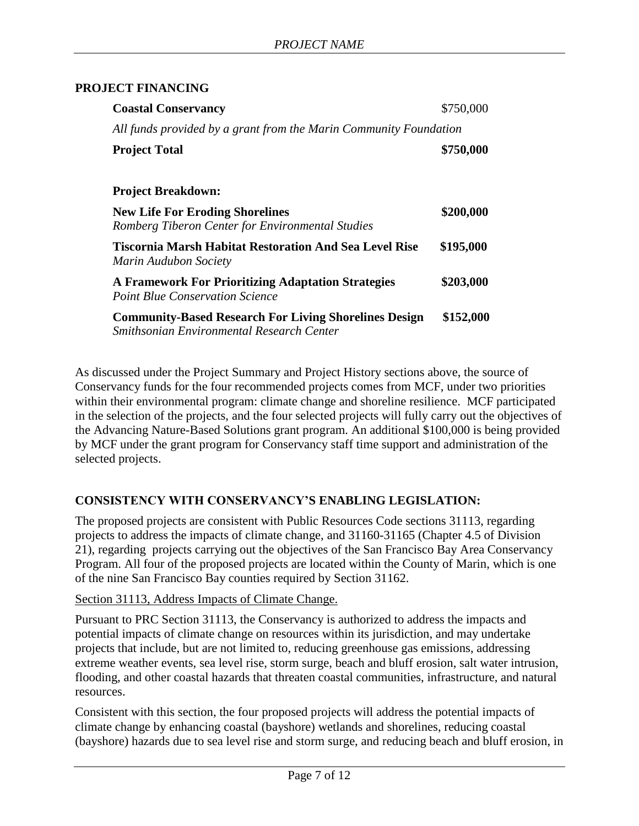#### **PROJECT FINANCING**

| <b>Coastal Conservancy</b>                                                                                | \$750,000 |
|-----------------------------------------------------------------------------------------------------------|-----------|
| All funds provided by a grant from the Marin Community Foundation                                         |           |
| <b>Project Total</b>                                                                                      | \$750,000 |
|                                                                                                           |           |
| <b>Project Breakdown:</b>                                                                                 |           |
| <b>New Life For Eroding Shorelines</b><br>Romberg Tiberon Center for Environmental Studies                | \$200,000 |
| <b>Tiscornia Marsh Habitat Restoration And Sea Level Rise</b><br>Marin Audubon Society                    | \$195,000 |
| <b>A Framework For Prioritizing Adaptation Strategies</b><br><b>Point Blue Conservation Science</b>       | \$203,000 |
| <b>Community-Based Research For Living Shorelines Design</b><br>Smithsonian Environmental Research Center | \$152,000 |

As discussed under the Project Summary and Project History sections above, the source of Conservancy funds for the four recommended projects comes from MCF, under two priorities within their environmental program: climate change and shoreline resilience. MCF participated in the selection of the projects, and the four selected projects will fully carry out the objectives of the Advancing Nature-Based Solutions grant program. An additional \$100,000 is being provided by MCF under the grant program for Conservancy staff time support and administration of the selected projects.

#### **CONSISTENCY WITH CONSERVANCY'S ENABLING LEGISLATION:**

The proposed projects are consistent with Public Resources Code sections 31113, regarding projects to address the impacts of climate change, and 31160-31165 (Chapter 4.5 of Division 21), regarding projects carrying out the objectives of the San Francisco Bay Area Conservancy Program. All four of the proposed projects are located within the County of Marin, which is one of the nine San Francisco Bay counties required by Section 31162.

Section 31113, Address Impacts of Climate Change.

Pursuant to PRC Section 31113, the Conservancy is authorized to address the impacts and potential impacts of climate change on resources within its jurisdiction, and may undertake projects that include, but are not limited to, reducing greenhouse gas emissions, addressing extreme weather events, sea level rise, storm surge, beach and bluff erosion, salt water intrusion, flooding, and other coastal hazards that threaten coastal communities, infrastructure, and natural resources.

Consistent with this section, the four proposed projects will address the potential impacts of climate change by enhancing coastal (bayshore) wetlands and shorelines, reducing coastal (bayshore) hazards due to sea level rise and storm surge, and reducing beach and bluff erosion, in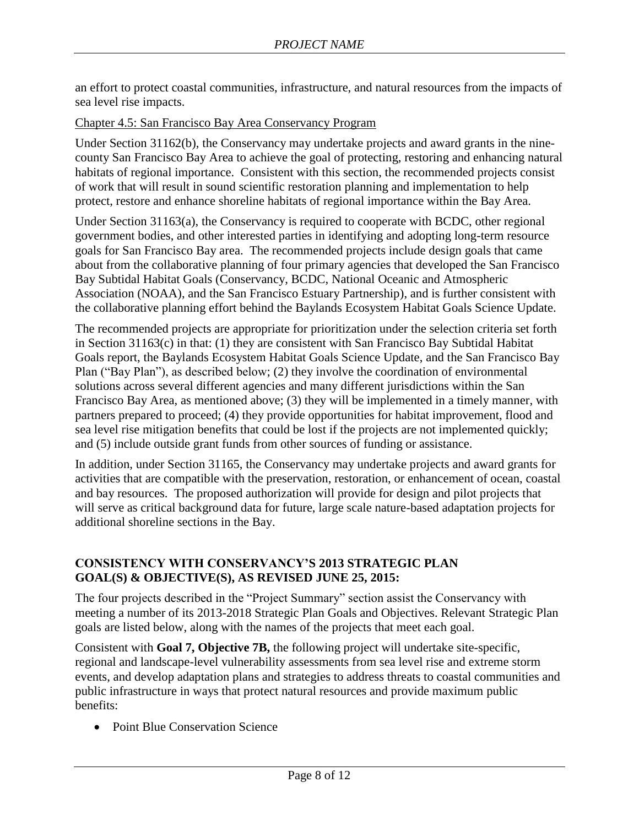an effort to protect coastal communities, infrastructure, and natural resources from the impacts of sea level rise impacts.

#### Chapter 4.5: San Francisco Bay Area Conservancy Program

Under Section 31162(b), the Conservancy may undertake projects and award grants in the ninecounty San Francisco Bay Area to achieve the goal of protecting, restoring and enhancing natural habitats of regional importance. Consistent with this section, the recommended projects consist of work that will result in sound scientific restoration planning and implementation to help protect, restore and enhance shoreline habitats of regional importance within the Bay Area.

Under Section 31163(a), the Conservancy is required to cooperate with BCDC, other regional government bodies, and other interested parties in identifying and adopting long-term resource goals for San Francisco Bay area. The recommended projects include design goals that came about from the collaborative planning of four primary agencies that developed the San Francisco Bay Subtidal Habitat Goals (Conservancy, BCDC, National Oceanic and Atmospheric Association (NOAA), and the San Francisco Estuary Partnership), and is further consistent with the collaborative planning effort behind the Baylands Ecosystem Habitat Goals Science Update.

The recommended projects are appropriate for prioritization under the selection criteria set forth in Section 31163(c) in that: (1) they are consistent with San Francisco Bay Subtidal Habitat Goals report, the Baylands Ecosystem Habitat Goals Science Update, and the San Francisco Bay Plan ("Bay Plan"), as described below; (2) they involve the coordination of environmental solutions across several different agencies and many different jurisdictions within the San Francisco Bay Area, as mentioned above; (3) they will be implemented in a timely manner, with partners prepared to proceed; (4) they provide opportunities for habitat improvement, flood and sea level rise mitigation benefits that could be lost if the projects are not implemented quickly; and (5) include outside grant funds from other sources of funding or assistance.

In addition, under Section 31165, the Conservancy may undertake projects and award grants for activities that are compatible with the preservation, restoration, or enhancement of ocean, coastal and bay resources. The proposed authorization will provide for design and pilot projects that will serve as critical background data for future, large scale nature-based adaptation projects for additional shoreline sections in the Bay.

#### **CONSISTENCY WITH CONSERVANCY'S 2013 STRATEGIC PLAN GOAL(S) & OBJECTIVE(S), AS REVISED JUNE 25, 2015:**

The four projects described in the "Project Summary" section assist the Conservancy with meeting a number of its 2013-2018 Strategic Plan Goals and Objectives. Relevant Strategic Plan goals are listed below, along with the names of the projects that meet each goal.

Consistent with **Goal 7, Objective 7B,** the following project will undertake site-specific, regional and landscape-level vulnerability assessments from sea level rise and extreme storm events, and develop adaptation plans and strategies to address threats to coastal communities and public infrastructure in ways that protect natural resources and provide maximum public benefits:

• Point Blue Conservation Science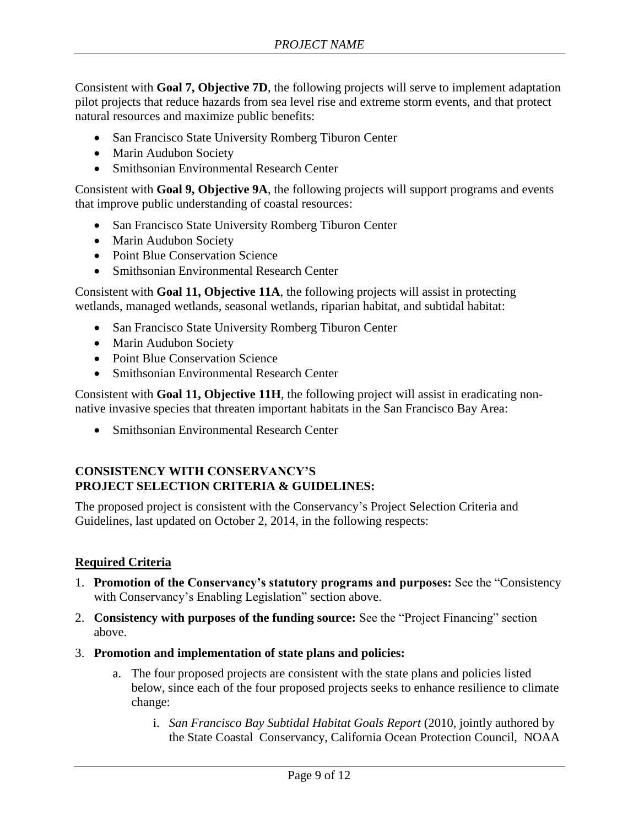Consistent with **Goal 7, Objective 7D**, the following projects will serve to implement adaptation pilot projects that reduce hazards from sea level rise and extreme storm events, and that protect natural resources and maximize public benefits:

- San Francisco State University Romberg Tiburon Center
- Marin Audubon Society
- Smithsonian Environmental Research Center

Consistent with **Goal 9, Objective 9A**, the following projects will support programs and events that improve public understanding of coastal resources:

- San Francisco State University Romberg Tiburon Center
- Marin Audubon Society
- Point Blue Conservation Science
- Smithsonian Environmental Research Center

Consistent with **Goal 11, Objective 11A**, the following projects will assist in protecting wetlands, managed wetlands, seasonal wetlands, riparian habitat, and subtidal habitat:

- San Francisco State University Romberg Tiburon Center
- Marin Audubon Society
- Point Blue Conservation Science
- Smithsonian Environmental Research Center

Consistent with **Goal 11, Objective 11H**, the following project will assist in eradicating nonnative invasive species that threaten important habitats in the San Francisco Bay Area:

• Smithsonian Environmental Research Center

### **CONSISTENCY WITH CONSERVANCY'S PROJECT SELECTION CRITERIA & GUIDELINES:**

The proposed project is consistent with the Conservancy's Project Selection Criteria and Guidelines, last updated on October 2, 2014, in the following respects:

#### **Required Criteria**

- 1. **Promotion of the Conservancy's statutory programs and purposes:** See the "Consistency with Conservancy's Enabling Legislation" section above.
- 2. **Consistency with purposes of the funding source:** See the "Project Financing" section above.
- 3. **Promotion and implementation of state plans and policies:** 
	- a. The four proposed projects are consistent with the state plans and policies listed below, since each of the four proposed projects seeks to enhance resilience to climate change:
		- i. *San Francisco Bay Subtidal Habitat Goals Report* (2010, jointly authored by the State Coastal Conservancy, California Ocean Protection Council, NOAA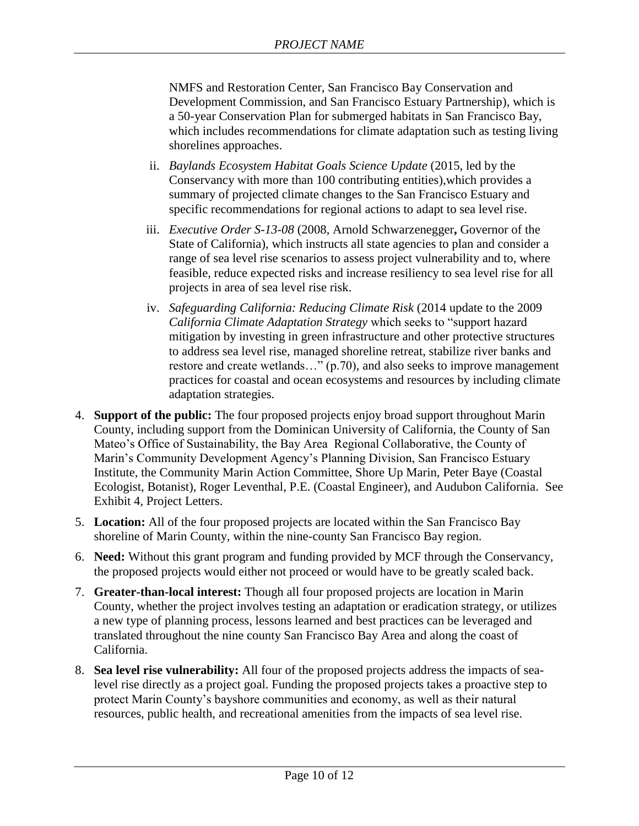NMFS and Restoration Center, San Francisco Bay Conservation and Development Commission, and San Francisco Estuary Partnership), which is a 50-year Conservation Plan for submerged habitats in San Francisco Bay, which includes recommendations for climate adaptation such as testing living shorelines approaches.

- ii. *Baylands Ecosystem Habitat Goals Science Update* (2015, led by the Conservancy with more than 100 contributing entities),which provides a summary of projected climate changes to the San Francisco Estuary and specific recommendations for regional actions to adapt to sea level rise.
- iii. *Executive Order S-13-08* (2008, Arnold Schwarzenegger**,** Governor of the State of California), which instructs all state agencies to plan and consider a range of sea level rise scenarios to assess project vulnerability and to, where feasible, reduce expected risks and increase resiliency to sea level rise for all projects in area of sea level rise risk.
- iv. *Safeguarding California: Reducing Climate Risk* (2014 update to the 2009 *California Climate Adaptation Strategy* which seeks to "support hazard mitigation by investing in green infrastructure and other protective structures to address sea level rise, managed shoreline retreat, stabilize river banks and restore and create wetlands…" (p.70), and also seeks to improve management practices for coastal and ocean ecosystems and resources by including climate adaptation strategies.
- 4. **Support of the public:** The four proposed projects enjoy broad support throughout Marin County, including support from the Dominican University of California, the County of San Mateo's Office of Sustainability, the Bay Area Regional Collaborative, the County of Marin's Community Development Agency's Planning Division, San Francisco Estuary Institute, the Community Marin Action Committee, Shore Up Marin, Peter Baye (Coastal Ecologist, Botanist), Roger Leventhal, P.E. (Coastal Engineer), and Audubon California. See Exhibit 4, Project Letters.
- 5. **Location:** All of the four proposed projects are located within the San Francisco Bay shoreline of Marin County, within the nine-county San Francisco Bay region.
- 6. **Need:** Without this grant program and funding provided by MCF through the Conservancy, the proposed projects would either not proceed or would have to be greatly scaled back.
- 7. **Greater-than-local interest:** Though all four proposed projects are location in Marin County, whether the project involves testing an adaptation or eradication strategy, or utilizes a new type of planning process, lessons learned and best practices can be leveraged and translated throughout the nine county San Francisco Bay Area and along the coast of California.
- 8. **Sea level rise vulnerability:** All four of the proposed projects address the impacts of sealevel rise directly as a project goal. Funding the proposed projects takes a proactive step to protect Marin County's bayshore communities and economy, as well as their natural resources, public health, and recreational amenities from the impacts of sea level rise.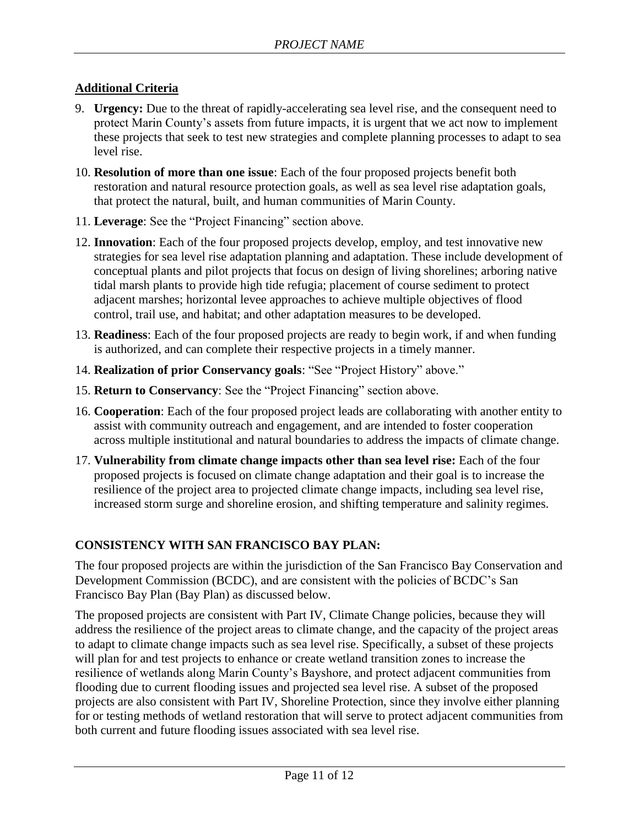## **Additional Criteria**

- 9. **Urgency:** Due to the threat of rapidly-accelerating sea level rise, and the consequent need to protect Marin County's assets from future impacts, it is urgent that we act now to implement these projects that seek to test new strategies and complete planning processes to adapt to sea level rise.
- 10. **Resolution of more than one issue**: Each of the four proposed projects benefit both restoration and natural resource protection goals, as well as sea level rise adaptation goals, that protect the natural, built, and human communities of Marin County.
- 11. **Leverage**: See the "Project Financing" section above.
- 12. **Innovation**: Each of the four proposed projects develop, employ, and test innovative new strategies for sea level rise adaptation planning and adaptation. These include development of conceptual plants and pilot projects that focus on design of living shorelines; arboring native tidal marsh plants to provide high tide refugia; placement of course sediment to protect adjacent marshes; horizontal levee approaches to achieve multiple objectives of flood control, trail use, and habitat; and other adaptation measures to be developed.
- 13. **Readiness**: Each of the four proposed projects are ready to begin work, if and when funding is authorized, and can complete their respective projects in a timely manner.
- 14. **Realization of prior Conservancy goals**: "See "Project History" above."
- 15. **Return to Conservancy**: See the "Project Financing" section above.
- 16. **Cooperation**: Each of the four proposed project leads are collaborating with another entity to assist with community outreach and engagement, and are intended to foster cooperation across multiple institutional and natural boundaries to address the impacts of climate change.
- 17. **Vulnerability from climate change impacts other than sea level rise:** Each of the four proposed projects is focused on climate change adaptation and their goal is to increase the resilience of the project area to projected climate change impacts, including sea level rise, increased storm surge and shoreline erosion, and shifting temperature and salinity regimes.

# **CONSISTENCY WITH SAN FRANCISCO BAY PLAN:**

The four proposed projects are within the jurisdiction of the San Francisco Bay Conservation and Development Commission (BCDC), and are consistent with the policies of BCDC's San Francisco Bay Plan (Bay Plan) as discussed below.

The proposed projects are consistent with Part IV, Climate Change policies, because they will address the resilience of the project areas to climate change, and the capacity of the project areas to adapt to climate change impacts such as sea level rise. Specifically, a subset of these projects will plan for and test projects to enhance or create wetland transition zones to increase the resilience of wetlands along Marin County's Bayshore, and protect adjacent communities from flooding due to current flooding issues and projected sea level rise. A subset of the proposed projects are also consistent with Part IV, Shoreline Protection, since they involve either planning for or testing methods of wetland restoration that will serve to protect adjacent communities from both current and future flooding issues associated with sea level rise.